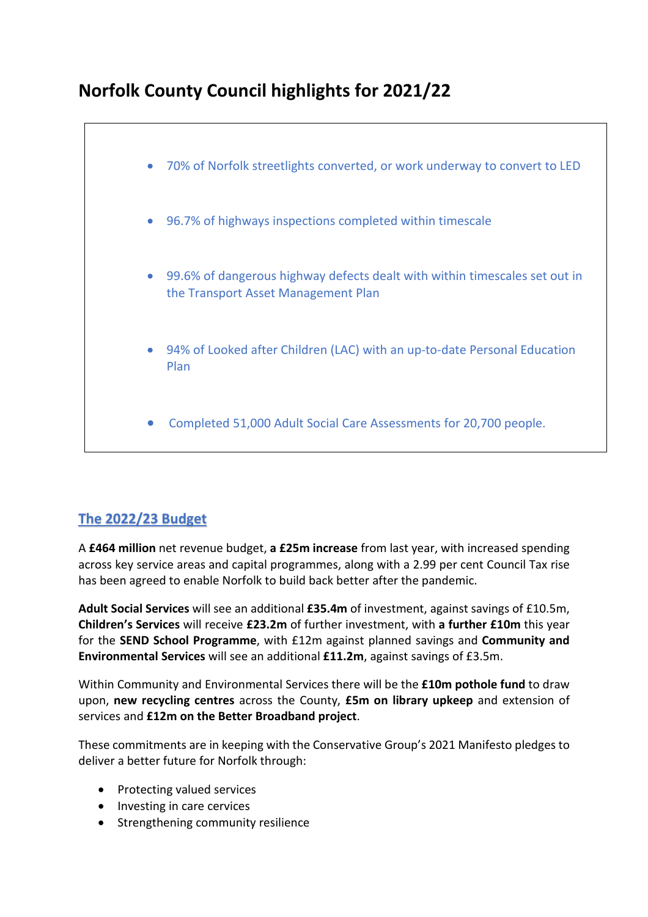# **Norfolk County Council highlights for 2021/22**



# **The 2022/23 Budget**

A **£464 million** net revenue budget, **a £25m increase** from last year, with increased spending across key service areas and capital programmes, along with a 2.99 per cent Council Tax rise has been agreed to enable Norfolk to build back better after the pandemic.

**Adult Social Services** will see an additional **£35.4m** of investment, against savings of £10.5m, **Children's Services** will receive **£23.2m** of further investment, with **a further £10m** this year for the **SEND School Programme**, with £12m against planned savings and **Community and Environmental Services** will see an additional **£11.2m**, against savings of £3.5m.

Within Community and Environmental Services there will be the **£10m pothole fund** to draw upon, **new recycling centres** across the County, **£5m on library upkeep** and extension of services and **£12m on the Better Broadband project**.

These commitments are in keeping with the Conservative Group's 2021 Manifesto pledges to deliver a better future for Norfolk through:

- Protecting valued services
- Investing in care cervices
- Strengthening community resilience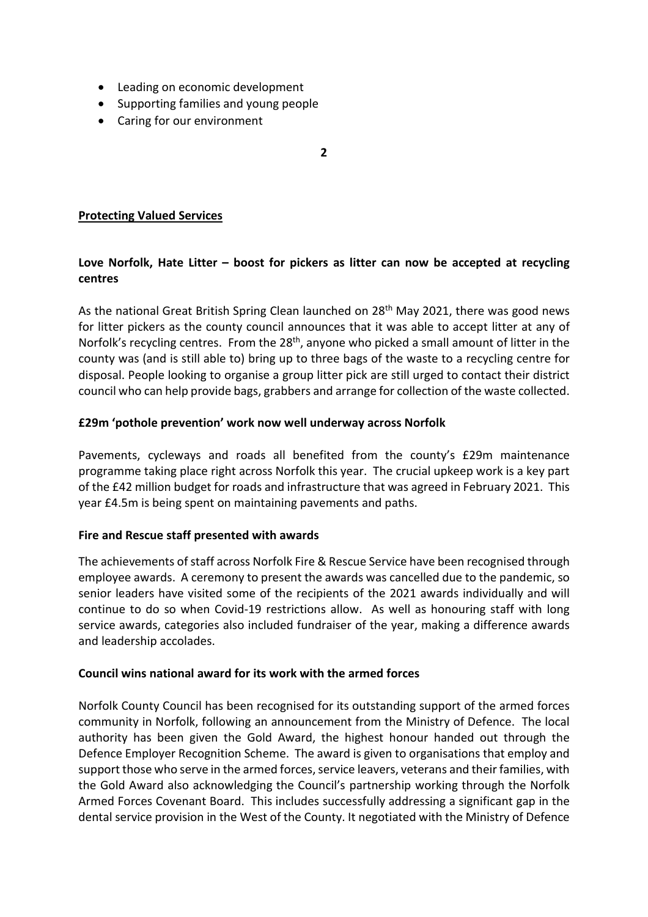- Leading on economic development
- Supporting families and young people
- Caring for our environment

**2**

# **Protecting Valued Services**

# **Love Norfolk, Hate Litter – boost for pickers as litter can now be accepted at recycling centres**

As the national Great British Spring Clean launched on 28<sup>th</sup> May 2021, there was good news for litter pickers as the county council announces that it was able to accept litter at any of Norfolk's recycling centres. From the 28<sup>th</sup>, anyone who picked a small amount of litter in the county was (and is still able to) bring up to three bags of the waste to a recycling centre for disposal. People looking to organise a group litter pick are still urged to contact their district council who can help provide bags, grabbers and arrange for collection of the waste collected.

# **£29m 'pothole prevention' work now well underway across Norfolk**

Pavements, cycleways and roads all benefited from the county's £29m maintenance programme taking place right across Norfolk this year. The crucial upkeep work is a key part of the £42 million budget for roads and infrastructure that was agreed in February 2021. This year £4.5m is being spent on maintaining pavements and paths.

#### **Fire and Rescue staff presented with awards**

The achievements of staff across Norfolk Fire & Rescue Service have been recognised through employee awards. A ceremony to present the awards was cancelled due to the pandemic, so senior leaders have visited some of the recipients of the 2021 awards individually and will continue to do so when Covid-19 restrictions allow. As well as honouring staff with long service awards, categories also included fundraiser of the year, making a difference awards and leadership accolades.

#### **Council wins national award for its work with the armed forces**

Norfolk County Council has been recognised for its outstanding support of the armed forces community in Norfolk, following an announcement from the Ministry of Defence. The local authority has been given the Gold Award, the highest honour handed out through the Defence Employer Recognition Scheme. The award is given to organisations that employ and support those who serve in the armed forces, service leavers, veterans and their families, with the Gold Award also acknowledging the Council's partnership working through the Norfolk Armed Forces Covenant Board. This includes successfully addressing a significant gap in the dental service provision in the West of the County. It negotiated with the Ministry of Defence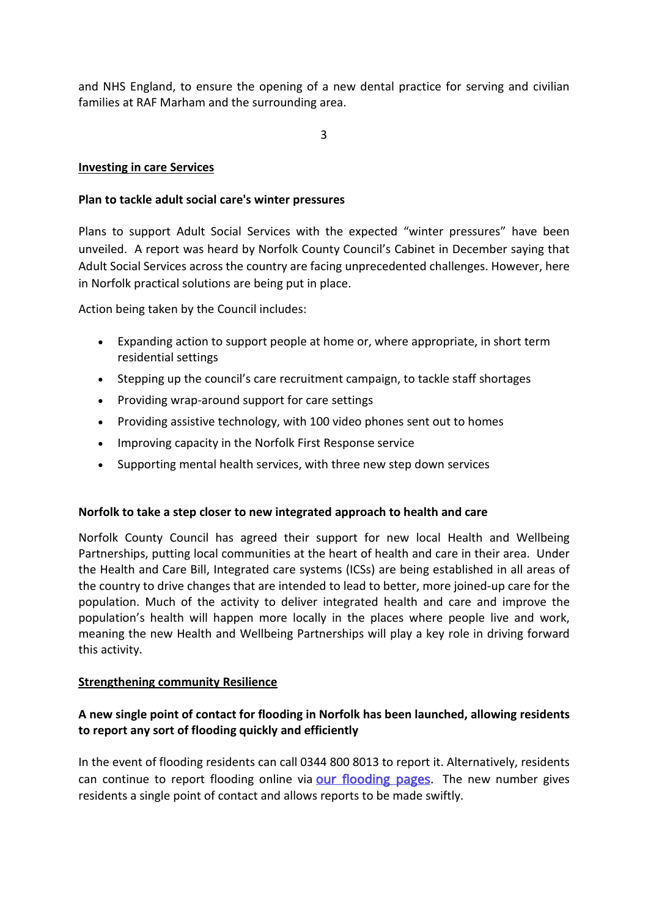and NHS England, to ensure the opening of a new dental practice for serving and civilian families at RAF Marham and the surrounding area.

3

# **Investing in care Services**

#### **Plan to tackle adult social care's winter pressures**

Plans to support Adult Social Services with the expected "winter pressures" have been unveiled. A report was heard by Norfolk County Council's Cabinet in December saying that Adult Social Services across the country are facing unprecedented challenges. However, here in Norfolk practical solutions are being put in place.

Action being taken by the Council includes:

- Expanding action to support people at home or, where appropriate, in short term residential settings
- Stepping up the council's care recruitment campaign, to tackle staff shortages
- Providing wrap-around support for care settings
- Providing assistive technology, with 100 video phones sent out to homes
- Improving capacity in the Norfolk First Response service
- Supporting mental health services, with three new step down services

# **Norfolk to take a step closer to new integrated approach to health and care**

Norfolk County Council has agreed their support for new local Health and Wellbeing Partnerships, putting local communities at the heart of health and care in their area. Under the Health and Care Bill, Integrated care systems (ICSs) are being established in all areas of the country to drive changes that are intended to lead to better, more joined-up care for the population. Much of the activity to deliver integrated health and care and improve the population's health will happen more locally in the places where people live and work, meaning the new Health and Wellbeing Partnerships will play a key role in driving forward this activity.

#### **Strengthening community Resilience**

# **A new single point of contact for flooding in Norfolk has been launched, allowing residents to report any sort of flooding quickly and efficiently**

In the event of flooding residents can call 0344 800 8013 to report it. Alternatively, residents can continue to report flooding online via **our flooding pages**. The new number gives residents a single point of contact and allows reports to be made swiftly.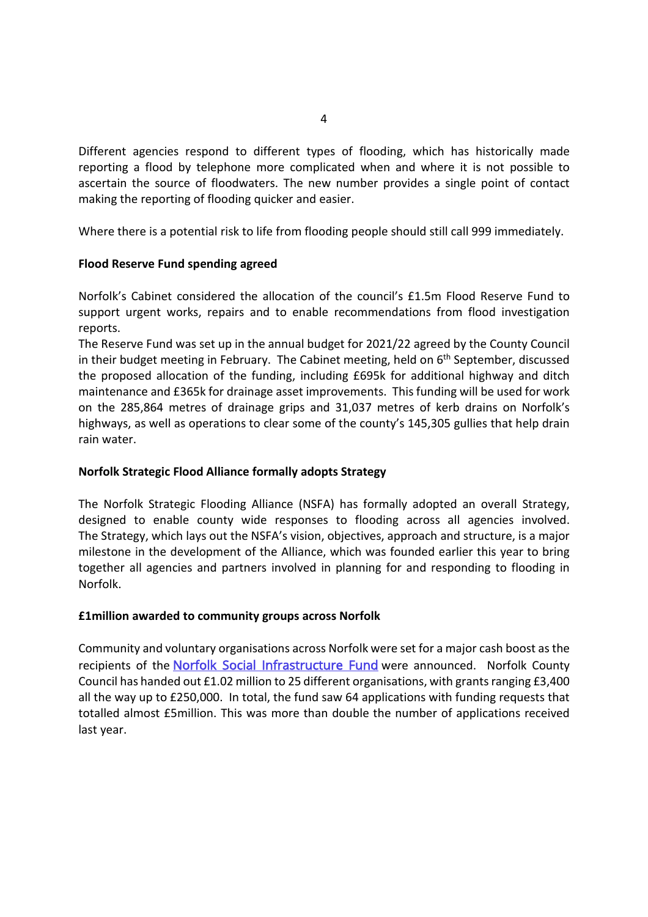Different agencies respond to different types of flooding, which has historically made reporting a flood by telephone more complicated when and where it is not possible to ascertain the source of floodwaters. The new number provides a single point of contact making the reporting of flooding quicker and easier.

Where there is a potential risk to life from flooding people should still call 999 immediately.

# **Flood Reserve Fund spending agreed**

Norfolk's Cabinet considered the allocation of the council's £1.5m Flood Reserve Fund to support urgent works, repairs and to enable recommendations from flood investigation reports.

The Reserve Fund was set up in the annual budget for 2021/22 agreed by the County Council in their budget meeting in February. The Cabinet meeting, held on 6<sup>th</sup> September, discussed the proposed allocation of the funding, including £695k for additional highway and ditch maintenance and £365k for drainage asset improvements. This funding will be used for work on the 285,864 metres of drainage grips and 31,037 metres of kerb drains on Norfolk's highways, as well as operations to clear some of the county's 145,305 gullies that help drain rain water.

#### **Norfolk Strategic Flood Alliance formally adopts Strategy**

The Norfolk Strategic Flooding Alliance (NSFA) has formally adopted an overall Strategy, designed to enable county wide responses to flooding across all agencies involved. The Strategy, which lays out the NSFA's vision, objectives, approach and structure, is a major milestone in the development of the Alliance, which was founded earlier this year to bring together all agencies and partners involved in planning for and responding to flooding in Norfolk.

#### **£1million awarded to community groups across Norfolk**

Community and voluntary organisations across Norfolk were set for a major cash boost asthe recipients of the [Norfolk Social Infrastructure Fund](https://www.norfolk.gov.uk/business/grants-and-funding/norfolk-social-infrastructure-fund) were announced. Norfolk County Council has handed out £1.02 million to 25 different organisations, with grantsranging £3,400 all the way up to £250,000. In total, the fund saw 64 applications with funding requests that totalled almost £5million. This was more than double the number of applications received last year.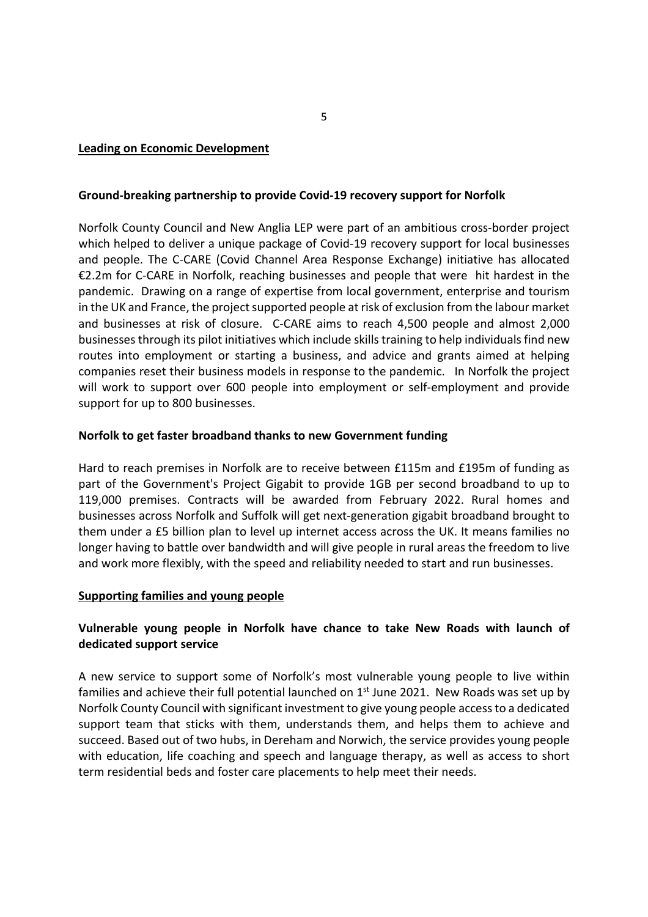#### **Leading on Economic Development**

#### **Ground-breaking partnership to provide Covid-19 recovery support for Norfolk**

Norfolk County Council and New Anglia LEP were part of an ambitious cross-border project which helped to deliver a unique package of Covid-19 recovery support for local businesses and people. The C-CARE (Covid Channel Area Response Exchange) initiative has allocated €2.2m for C-CARE in Norfolk, reaching businesses and people that were hit hardest in the pandemic. Drawing on a range of expertise from local government, enterprise and tourism in the UK and France, the project supported people at risk of exclusion from the labour market and businesses at risk of closure. C-CARE aims to reach 4,500 people and almost 2,000 businesses through its pilot initiatives which include skills training to help individuals find new routes into employment or starting a business, and advice and grants aimed at helping companies reset their business models in response to the pandemic. In Norfolk the project will work to support over 600 people into employment or self-employment and provide support for up to 800 businesses.

#### **Norfolk to get faster broadband thanks to new Government funding**

Hard to reach premises in Norfolk are to receive between £115m and £195m of funding as part of the Government's Project Gigabit to provide 1GB per second broadband to up to 119,000 premises. Contracts will be awarded from February 2022. Rural homes and businesses across Norfolk and Suffolk will get next-generation gigabit broadband brought to them under a £5 billion plan to level up internet access across the UK. It means families no longer having to battle over bandwidth and will give people in rural areas the freedom to live and work more flexibly, with the speed and reliability needed to start and run businesses.

#### **Supporting families and young people**

# **Vulnerable young people in Norfolk have chance to take New Roads with launch of dedicated support service**

A new service to support some of Norfolk's most vulnerable young people to live within families and achieve their full potential launched on 1<sup>st</sup> June 2021. New Roads was set up by Norfolk County Council with significant investment to give young people accessto a dedicated support team that sticks with them, understands them, and helps them to achieve and succeed. Based out of two hubs, in Dereham and Norwich, the service provides young people with education, life coaching and speech and language therapy, as well as access to short term residential beds and foster care placements to help meet their needs.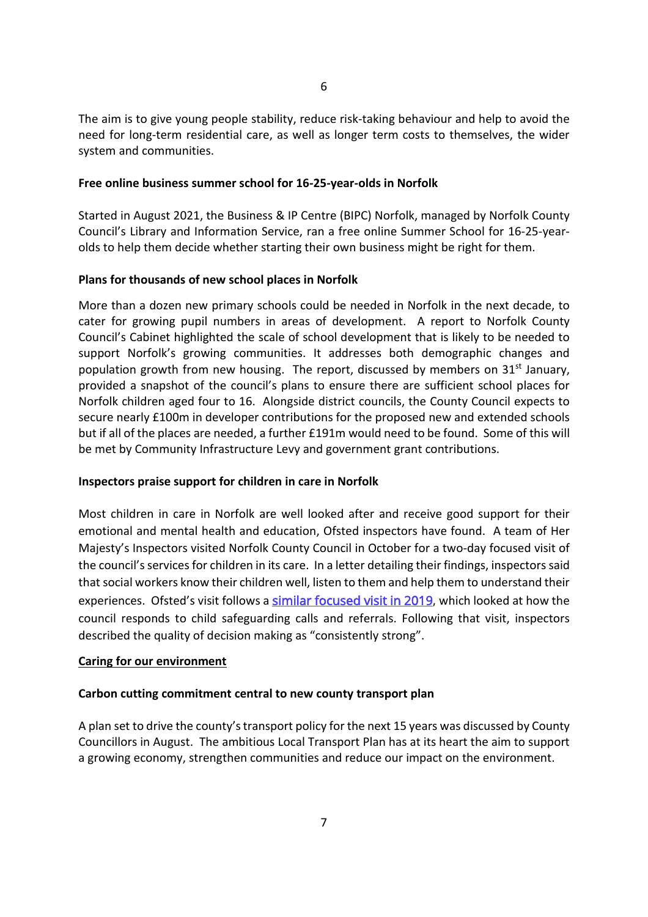The aim is to give young people stability, reduce risk-taking behaviour and help to avoid the need for long-term residential care, as well as longer term costs to themselves, the wider system and communities.

#### **Free online business summer school for 16-25-year-olds in Norfolk**

Started in August 2021, the Business & IP Centre (BIPC) Norfolk, managed by Norfolk County Council's Library and Information Service, ran a free online Summer School for 16-25-yearolds to help them decide whether starting their own business might be right for them.

#### **Plans for thousands of new school places in Norfolk**

More than a dozen new primary schools could be needed in Norfolk in the next decade, to cater for growing pupil numbers in areas of development. A report to Norfolk County Council's Cabinet highlighted the scale of school development that is likely to be needed to support Norfolk's growing communities. It addresses both demographic changes and population growth from new housing. The report, discussed by members on  $31<sup>st</sup>$  January, provided a snapshot of the council's plans to ensure there are sufficient school places for Norfolk children aged four to 16. Alongside district councils, the County Council expects to secure nearly £100m in developer contributions for the proposed new and extended schools but if all of the places are needed, a further £191m would need to be found. Some of this will be met by Community Infrastructure Levy and government grant contributions.

#### **Inspectors praise support for children in care in Norfolk**

Most children in care in Norfolk are well looked after and receive good support for their emotional and mental health and education, Ofsted inspectors have found. A team of Her Majesty's Inspectors visited Norfolk County Council in October for a two-day focused visit of the council's services for children in its care. In a letter detailing their findings, inspectors said that social workers know their children well, listen to them and help them to understand their experiences. Ofsted's visit follows a [similar focused visit in 2019,](https://www.norfolk.gov.uk/news/2019/10/consistently-strong-decision-making-helping-families-get-the-right-help-first-time) which looked at how the council responds to child safeguarding calls and referrals. Following that visit, inspectors described the quality of decision making as "consistently strong".

#### **Caring for our environment**

#### **Carbon cutting commitment central to new county transport plan**

A plan set to drive the county's transport policy for the next 15 years was discussed by County Councillors in August. The ambitious Local Transport Plan has at its heart the aim to support a growing economy, strengthen communities and reduce our impact on the environment.